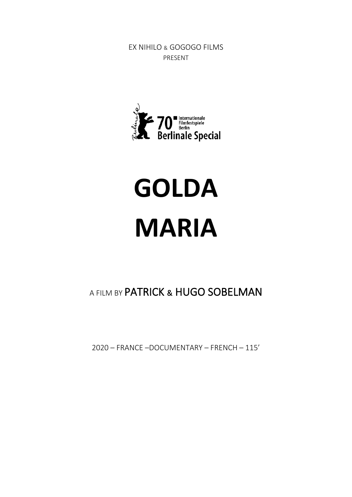EX NIHILO & GOGOGO FILMS PRESENT



# **GOLDA MARIA**

# A FILM BY PATRICK & HUGO SOBELMAN

2020 – FRANCE –DOCUMENTARY – FRENCH – 115'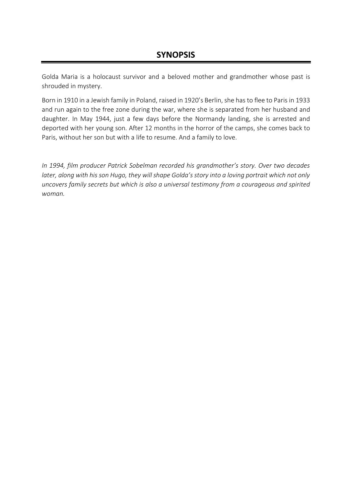Golda Maria is a holocaust survivor and a beloved mother and grandmother whose past is shrouded in mystery.

Born in 1910 in a Jewish family in Poland, raised in 1920's Berlin, she has to flee to Paris in 1933 and run again to the free zone during the war, where she is separated from her husband and daughter. In May 1944, just a few days before the Normandy landing, she is arrested and deported with her young son. After 12 months in the horror of the camps, she comes back to Paris, without her son but with a life to resume. And a family to love.

*In 1994, film producer Patrick Sobelman recorded his grandmother's story. Over two decades later, along with his son Hugo, they will shape Golda's story into a loving portrait which not only uncovers family secrets but which is also a universal testimony from a courageous and spirited woman.*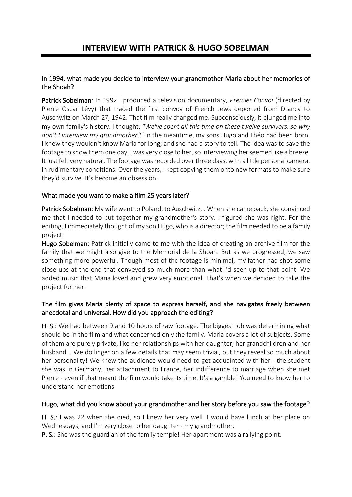#### In 1994, what made you decide to interview your grandmother Maria about her memories of the Shoah?

Patrick Sobelman: In 1992 I produced a television documentary, *Premier Convoi* (directed by Pierre Oscar Lévy) that traced the first convoy of French Jews deported from Drancy to Auschwitz on March 27, 1942. That film really changed me. Subconsciously, it plunged me into my own family's history. I thought, *"We've spent all this time on these twelve survivors, so why don't I interview my grandmother?"* In the meantime, my sons Hugo and Théo had been born. I knew they wouldn't know Maria for long, and she had a story to tell. The idea was to save the footage to show them one day. I was very close to her, so interviewing her seemed like a breeze. It just felt very natural. The footage was recorded over three days, with a little personal camera, in rudimentary conditions. Over the years, I kept copying them onto new formats to make sure they'd survive. It's become an obsession.

#### What made you want to make a film 25 years later?

Patrick Sobelman: My wife went to Poland, to Auschwitz... When she came back, she convinced me that I needed to put together my grandmother's story. I figured she was right. For the editing, I immediately thought of my son Hugo, who is a director; the film needed to be a family project.

Hugo Sobelman: Patrick initially came to me with the idea of creating an archive film for the family that we might also give to the Mémorial de la Shoah. But as we progressed, we saw something more powerful. Though most of the footage is minimal, my father had shot some close-ups at the end that conveyed so much more than what I'd seen up to that point. We added music that Maria loved and grew very emotional. That's when we decided to take the project further.

#### The film gives Maria plenty of space to express herself, and she navigates freely between anecdotal and universal. How did you approach the editing?

H. S.: We had between 9 and 10 hours of raw footage. The biggest job was determining what should be in the film and what concerned only the family. Maria covers a lot of subjects. Some of them are purely private, like her relationships with her daughter, her grandchildren and her husband... We do linger on a few details that may seem trivial, but they reveal so much about her personality! We knew the audience would need to get acquainted with her - the student she was in Germany, her attachment to France, her indifference to marriage when she met Pierre - even if that meant the film would take its time. It's a gamble! You need to know her to understand her emotions.

#### Hugo, what did you know about your grandmother and her story before you saw the footage?

H. S.: I was 22 when she died, so I knew her very well. I would have lunch at her place on Wednesdays, and I'm very close to her daughter - my grandmother.

P. S.: She was the guardian of the family temple! Her apartment was a rallying point.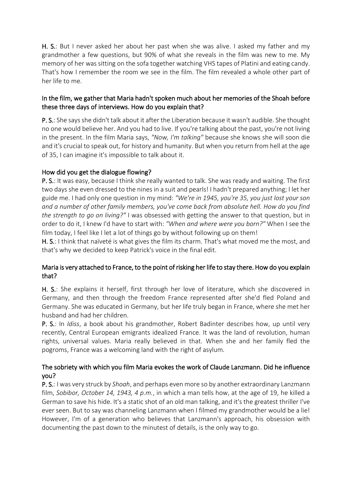H. S.: But I never asked her about her past when she was alive. I asked my father and my grandmother a few questions, but 90% of what she reveals in the film was new to me. My memory of her was sitting on the sofa together watching VHS tapes of Platini and eating candy. That's how I remember the room we see in the film. The film revealed a whole other part of her life to me.

#### In the film, we gather that Maria hadn't spoken much about her memories of the Shoah before these three days of interviews. How do you explain that?

P. S.: She says she didn't talk about it after the Liberation because it wasn't audible. She thought no one would believe her. And you had to live. If you're talking about the past, you're not living in the present. In the film Maria says, *"Now, I'm talking"* because she knows she will soon die and it's crucial to speak out, for history and humanity. But when you return from hell at the age of 35, I can imagine it's impossible to talk about it.

#### How did you get the dialogue flowing?

P. S.: It was easy, because I think she really wanted to talk. She was ready and waiting. The first two days she even dressed to the nines in a suit and pearls! I hadn't prepared anything; I let her guide me. I had only one question in my mind: *"We're in 1945, you're 35, you just lost your son and a number of other family members, you've come back from absolute hell. How do you find the strength to go on living?"* I was obsessed with getting the answer to that question, but in order to do it, I knew I'd have to start with: *"When and where were you born?"* When I see the film today, I feel like I let a lot of things go by without following up on them!

H. S.: I think that naïveté is what gives the film its charm. That's what moved me the most, and that's why we decided to keep Patrick's voice in the final edit.

#### Maria is very attached to France, to the point of risking her life to stay there. How do you explain that?

H. S.: She explains it herself, first through her love of literature, which she discovered in Germany, and then through the freedom France represented after she'd fled Poland and Germany. She was educated in Germany, but her life truly began in France, where she met her husband and had her children.

P. S.: In *Idiss*, a book about his grandmother, Robert Badinter describes how, up until very recently, Central European emigrants idealized France. It was the land of revolution, human rights, universal values. Maria really believed in that. When she and her family fled the pogroms, France was a welcoming land with the right of asylum.

#### The sobriety with which you film Maria evokes the work of Claude Lanzmann. Did he influence you?

P. S.: I was very struck by *Shoah*, and perhaps even more so by another extraordinary Lanzmann film, *Sobibor, October 14, 1943, 4 p.m.*, in which a man tells how, at the age of 19, he killed a German to save his hide. It's a static shot of an old man talking, and it's the greatest thriller I've ever seen. But to say was channeling Lanzmann when I filmed my grandmother would be a lie! However, I'm of a generation who believes that Lanzmann's approach, his obsession with documenting the past down to the minutest of details, is the only way to go.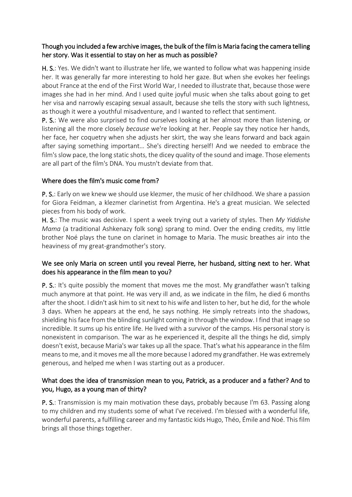#### Though you included a few archive images, the bulk of the film is Maria facing the camera telling her story. Was it essential to stay on her as much as possible?

H. S.: Yes. We didn't want to illustrate her life, we wanted to follow what was happening inside her. It was generally far more interesting to hold her gaze. But when she evokes her feelings about France at the end of the First World War, I needed to illustrate that, because those were images she had in her mind. And I used quite joyful music when she talks about going to get her visa and narrowly escaping sexual assault, because she tells the story with such lightness, as though it were a youthful misadventure, and I wanted to reflect that sentiment.

P. S.: We were also surprised to find ourselves looking at her almost more than listening, or listening all the more closely *because* we're looking at her. People say they notice her hands, her face, her coquetry when she adjusts her skirt, the way she leans forward and back again after saying something important… She's directing herself! And we needed to embrace the film's slow pace, the long static shots, the dicey quality of the sound and image. Those elements are all part of the film's DNA. You mustn't deviate from that.

#### Where does the film's music come from?

P. S.: Early on we knew we should use klezmer, the music of her childhood. We share a passion for Giora Feidman, a klezmer clarinetist from Argentina. He's a great musician. We selected pieces from his body of work.

H. S.: The music was decisive. I spent a week trying out a variety of styles. Then *My Yiddishe Mama* (a traditional Ashkenazy folk song) sprang to mind. Over the ending credits, my little brother Noé plays the tune on clarinet in homage to Maria. The music breathes air into the heaviness of my great-grandmother's story.

#### We see only Maria on screen until you reveal Pierre, her husband, sitting next to her. What does his appearance in the film mean to you?

P. S.: It's quite possibly the moment that moves me the most. My grandfather wasn't talking much anymore at that point. He was very ill and, as we indicate in the film, he died 6 months after the shoot. I didn't ask him to sit next to his wife and listen to her, but he did, for the whole 3 days. When he appears at the end, he says nothing. He simply retreats into the shadows, shielding his face from the blinding sunlight coming in through the window. I find that image so incredible. It sums up his entire life. He lived with a survivor of the camps. His personal story is nonexistent in comparison. The war as he experienced it, despite all the things he did, simply doesn't exist, because Maria's war takes up all the space. That's what his appearance in the film means to me, and it moves me all the more because I adored my grandfather. He was extremely generous, and helped me when I was starting out as a producer.

#### What does the idea of transmission mean to you, Patrick, as a producer and a father? And to you, Hugo, as a young man of thirty?

P. S.: Transmission is my main motivation these days, probably because I'm 63. Passing along to my children and my students some of what I've received. I'm blessed with a wonderful life, wonderful parents, a fulfilling career and my fantastic kids Hugo, Théo, Émile and Noé. This film brings all those things together.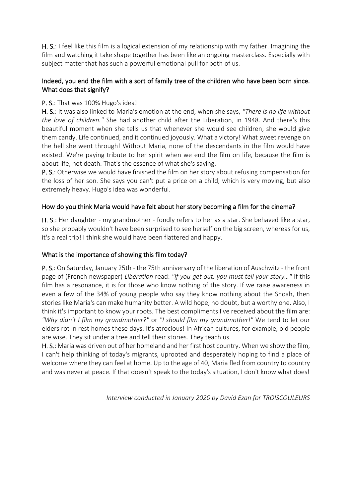H. S.: I feel like this film is a logical extension of my relationship with my father. Imagining the film and watching it take shape together has been like an ongoing masterclass. Especially with subject matter that has such a powerful emotional pull for both of us.

#### Indeed, you end the film with a sort of family tree of the children who have been born since. What does that signify?

#### P. S.: That was 100% Hugo's idea!

H. S.: It was also linked to Maria's emotion at the end, when she says, *"There is no life without the love of children."* She had another child after the Liberation, in 1948. And there's this beautiful moment when she tells us that whenever she would see children, she would give them candy. Life continued, and it continued joyously. What a victory! What sweet revenge on the hell she went through! Without Maria, none of the descendants in the film would have existed. We're paying tribute to her spirit when we end the film on life, because the film is about life, not death. That's the essence of what she's saying.

P. S.: Otherwise we would have finished the film on her story about refusing compensation for the loss of her son. She says you can't put a price on a child, which is very moving, but also extremely heavy. Hugo's idea was wonderful.

#### How do you think Maria would have felt about her story becoming a film for the cinema?

H. S.: Her daughter - my grandmother - fondly refers to her as a star. She behaved like a star, so she probably wouldn't have been surprised to see herself on the big screen, whereas for us, it's a real trip! I think she would have been flattered and happy.

#### What is the importance of showing this film today?

P. S.: On Saturday, January 25th - the 75th anniversary of the liberation of Auschwitz - the front page of (French newspaper) *Libération* read: *"If you get out, you must tell your story…"* If this film has a resonance, it is for those who know nothing of the story. If we raise awareness in even a few of the 34% of young people who say they know nothing about the Shoah, then stories like Maria's can make humanity better. A wild hope, no doubt, but a worthy one. Also, I think it's important to know your roots. The best compliments I've received about the film are: *"Why didn't I film my grandmother?"* or *"I should film my grandmother!"* We tend to let our elders rot in rest homes these days. It's atrocious! In African cultures, for example, old people are wise. They sit under a tree and tell their stories. They teach us.

H. S.: Maria was driven out of her homeland and her first host country. When we show the film, I can't help thinking of today's migrants, uprooted and desperately hoping to find a place of welcome where they can feel at home. Up to the age of 40, Maria fled from country to country and was never at peace. If that doesn't speak to the today's situation, I don't know what does!

*Interview conducted in January 2020 by David Ezan for TROISCOULEURS*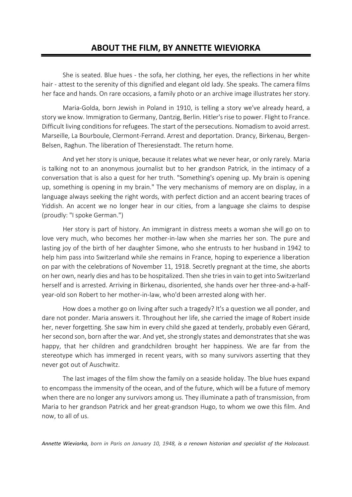### **ABOUT THE FILM, BY ANNETTE WIEVIORKA**

She is seated. Blue hues - the sofa, her clothing, her eyes, the reflections in her white hair - attest to the serenity of this dignified and elegant old lady. She speaks. The camera films her face and hands. On rare occasions, a family photo or an archive image illustrates her story.

Maria-Golda, born Jewish in Poland in 1910, is telling a story we've already heard, a story we know. Immigration to Germany, Dantzig, Berlin. Hitler's rise to power. Flight to France. Difficult living conditions for refugees. The start of the persecutions. Nomadism to avoid arrest. Marseille, La Bourboule, Clermont-Ferrand. Arrest and deportation. Drancy, Birkenau, Bergen-Belsen, Raghun. The liberation of Theresienstadt. The return home.

And yet her story is unique, because it relates what we never hear, or only rarely. Maria is talking not to an anonymous journalist but to her grandson Patrick, in the intimacy of a conversation that is also a quest for her truth. "Something's opening up. My brain is opening up, something is opening in my brain." The very mechanisms of memory are on display, in a language always seeking the right words, with perfect diction and an accent bearing traces of Yiddish. An accent we no longer hear in our cities, from a language she claims to despise (proudly: "I spoke German.")

Her story is part of history. An immigrant in distress meets a woman she will go on to love very much, who becomes her mother-in-law when she marries her son. The pure and lasting joy of the birth of her daughter Simone, who she entrusts to her husband in 1942 to help him pass into Switzerland while she remains in France, hoping to experience a liberation on par with the celebrations of November 11, 1918. Secretly pregnant at the time, she aborts on her own, nearly dies and has to be hospitalized. Then she tries in vain to get into Switzerland herself and is arrested. Arriving in Birkenau, disoriented, she hands over her three-and-a-halfyear-old son Robert to her mother-in-law, who'd been arrested along with her.

How does a mother go on living after such a tragedy? It's a question we all ponder, and dare not ponder. Maria answers it. Throughout her life, she carried the image of Robert inside her, never forgetting. She saw him in every child she gazed at tenderly, probably even Gérard, her second son, born after the war. And yet, she strongly states and demonstrates that she was happy, that her children and grandchildren brought her happiness. We are far from the stereotype which has immerged in recent years, with so many survivors asserting that they never got out of Auschwitz.

The last images of the film show the family on a seaside holiday. The blue hues expand to encompass the immensity of the ocean, and of the future, which will be a future of memory when there are no longer any survivors among us. They illuminate a path of transmission, from Maria to her grandson Patrick and her great-grandson Hugo, to whom we owe this film. And now, to all of us.

*Annette Wieviorka, born in Paris on January 10, 1948, is a renown historian and specialist of the Holocaust.*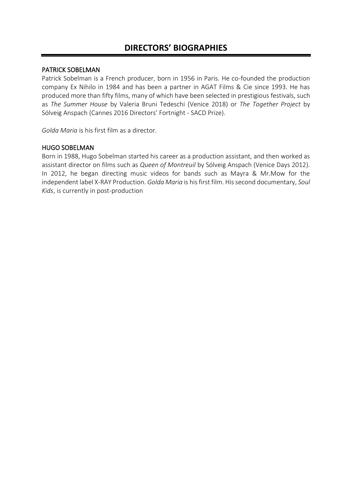# **DIRECTORS' BIOGRAPHIES**

#### PATRICK SOBELMAN

Patrick Sobelman is a French producer, born in 1956 in Paris. He co-founded the production company Ex Nihilo in 1984 and has been a partner in AGAT Films & Cie since 1993. He has produced more than fifty films, many of which have been selected in prestigious festivals, such as *The Summer House* by Valeria Bruni Tedeschi (Venice 2018) or *The Together Project* by Sólveig Anspach (Cannes 2016 Directors' Fortnight - SACD Prize).

*Golda Maria* is his first film as a director.

#### HUGO SOBELMAN

Born in 1988, Hugo Sobelman started his career as a production assistant, and then worked as assistant director on films such as *Queen of Montreuil* by Sólveig Anspach (Venice Days 2012). In 2012, he began directing music videos for bands such as Mayra & Mr.Mow for the independent label X-RAY Production. *Golda Maria* is his first film. His second documentary, *Soul Kids*, is currently in post-production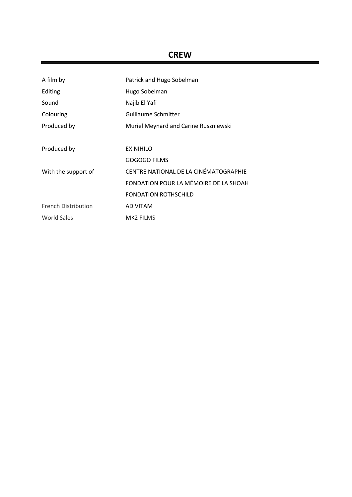# **CREW**

| A film by                  | Patrick and Hugo Sobelman             |
|----------------------------|---------------------------------------|
| Editing                    | Hugo Sobelman                         |
| Sound                      | Najib El Yafi                         |
| Colouring                  | Guillaume Schmitter                   |
| Produced by                | Muriel Meynard and Carine Ruszniewski |
|                            |                                       |
| Produced by                | EX NIHILO                             |
|                            | GOGOGO FILMS                          |
| With the support of        | CENTRE NATIONAL DE LA CINÉMATOGRAPHIE |
|                            | FONDATION POUR LA MÉMOIRE DE LA SHOAH |
|                            | <b>FONDATION ROTHSCHILD</b>           |
| <b>French Distribution</b> | AD VITAM                              |
| World Sales                | <b>MK2 FILMS</b>                      |